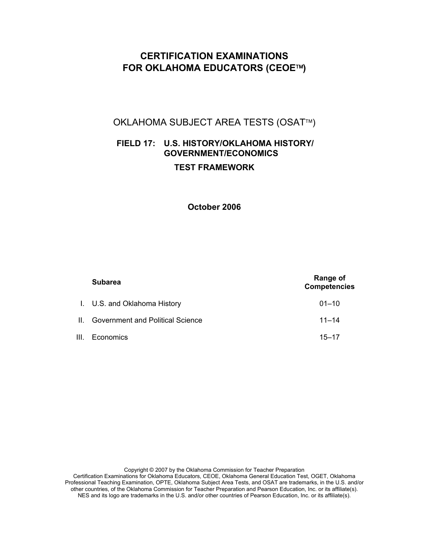# **CERTIFICATION EXAMINATIONS FOR OKLAHOMA EDUCATORS (CEOE)**

# OKLAHOMA SUBJECT AREA TESTS (OSAT™)

# **FIELD 17: U.S. HISTORY/OKLAHOMA HISTORY/ GOVERNMENT/ECONOMICS TEST FRAMEWORK**

# **October 2006**

| <b>Subarea</b>                       | Range of<br><b>Competencies</b> |
|--------------------------------------|---------------------------------|
| I. U.S. and Oklahoma History         | $01 - 10$                       |
| II. Government and Political Science | $11 - 14$                       |
| III. Economics                       | $15 - 17$                       |

Copyright © 2007 by the Oklahoma Commission for Teacher Preparation Certification Examinations for Oklahoma Educators, CEOE, Oklahoma General Education Test, OGET, Oklahoma Professional Teaching Examination, OPTE, Oklahoma Subject Area Tests, and OSAT are trademarks, in the U.S. and/or other countries, of the Oklahoma Commission for Teacher Preparation and Pearson Education, Inc. or its affiliate(s). NES and its logo are trademarks in the U.S. and/or other countries of Pearson Education, Inc. or its affiliate(s).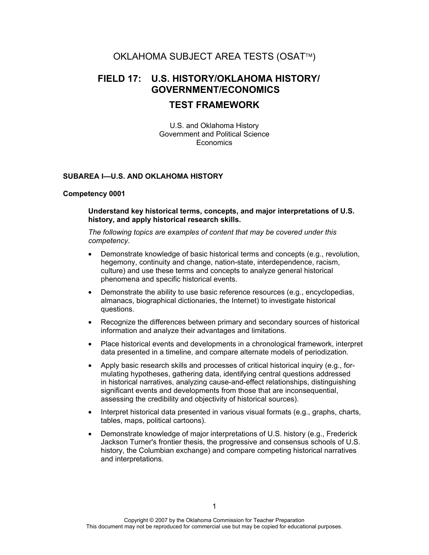# OKLAHOMA SUBJECT AREA TESTS (OSAT™)

# **FIELD 17: U.S. HISTORY/OKLAHOMA HISTORY/ GOVERNMENT/ECONOMICS**

# **TEST FRAMEWORK**

U.S. and Oklahoma History Government and Political Science **Economics** 

# **SUBAREA I—U.S. AND OKLAHOMA HISTORY**

#### **Competency 0001**

**Understand key historical terms, concepts, and major interpretations of U.S. history, and apply historical research skills.** 

- Demonstrate knowledge of basic historical terms and concepts (e.g., revolution, hegemony, continuity and change, nation-state, interdependence, racism, culture) and use these terms and concepts to analyze general historical phenomena and specific historical events.
- Demonstrate the ability to use basic reference resources (e.g., encyclopedias, almanacs, biographical dictionaries, the Internet) to investigate historical questions.
- Recognize the differences between primary and secondary sources of historical information and analyze their advantages and limitations.
- Place historical events and developments in a chronological framework, interpret data presented in a timeline, and compare alternate models of periodization.
- Apply basic research skills and processes of critical historical inquiry (e.g., formulating hypotheses, gathering data, identifying central questions addressed in historical narratives, analyzing cause-and-effect relationships, distinguishing significant events and developments from those that are inconsequential, assessing the credibility and objectivity of historical sources).
- Interpret historical data presented in various visual formats (e.g., graphs, charts, tables, maps, political cartoons).
- Demonstrate knowledge of major interpretations of U.S. history (e.g., Frederick Jackson Turner's frontier thesis, the progressive and consensus schools of U.S. history, the Columbian exchange) and compare competing historical narratives and interpretations.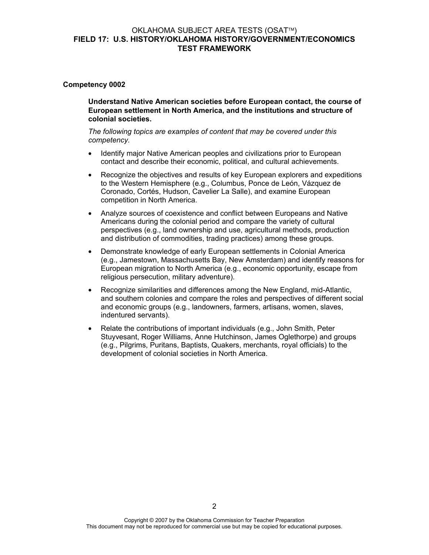#### **Competency 0002**

**Understand Native American societies before European contact, the course of European settlement in North America, and the institutions and structure of colonial societies.** 

- Identify major Native American peoples and civilizations prior to European contact and describe their economic, political, and cultural achievements.
- Recognize the objectives and results of key European explorers and expeditions to the Western Hemisphere (e.g., Columbus, Ponce de León, Vázquez de Coronado, Cortés, Hudson, Cavelier La Salle), and examine European competition in North America.
- Analyze sources of coexistence and conflict between Europeans and Native Americans during the colonial period and compare the variety of cultural perspectives (e.g., land ownership and use, agricultural methods, production and distribution of commodities, trading practices) among these groups.
- Demonstrate knowledge of early European settlements in Colonial America (e.g., Jamestown, Massachusetts Bay, New Amsterdam) and identify reasons for European migration to North America (e.g., economic opportunity, escape from religious persecution, military adventure).
- Recognize similarities and differences among the New England, mid-Atlantic, and southern colonies and compare the roles and perspectives of different social and economic groups (e.g., landowners, farmers, artisans, women, slaves, indentured servants).
- Relate the contributions of important individuals (e.g., John Smith, Peter Stuyvesant, Roger Williams, Anne Hutchinson, James Oglethorpe) and groups (e.g., Pilgrims, Puritans, Baptists, Quakers, merchants, royal officials) to the development of colonial societies in North America.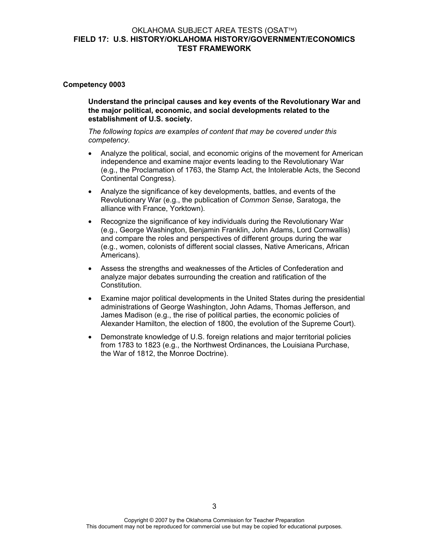#### **Competency 0003**

**Understand the principal causes and key events of the Revolutionary War and the major political, economic, and social developments related to the establishment of U.S. society.** 

- Analyze the political, social, and economic origins of the movement for American independence and examine major events leading to the Revolutionary War (e.g., the Proclamation of 1763, the Stamp Act, the Intolerable Acts, the Second Continental Congress).
- Analyze the significance of key developments, battles, and events of the Revolutionary War (e.g., the publication of *Common Sense*, Saratoga, the alliance with France, Yorktown).
- Recognize the significance of key individuals during the Revolutionary War (e.g., George Washington, Benjamin Franklin, John Adams, Lord Cornwallis) and compare the roles and perspectives of different groups during the war (e.g., women, colonists of different social classes, Native Americans, African Americans).
- Assess the strengths and weaknesses of the Articles of Confederation and analyze major debates surrounding the creation and ratification of the Constitution.
- Examine major political developments in the United States during the presidential administrations of George Washington, John Adams, Thomas Jefferson, and James Madison (e.g., the rise of political parties, the economic policies of Alexander Hamilton, the election of 1800, the evolution of the Supreme Court).
- Demonstrate knowledge of U.S. foreign relations and major territorial policies from 1783 to 1823 (e.g., the Northwest Ordinances, the Louisiana Purchase, the War of 1812, the Monroe Doctrine).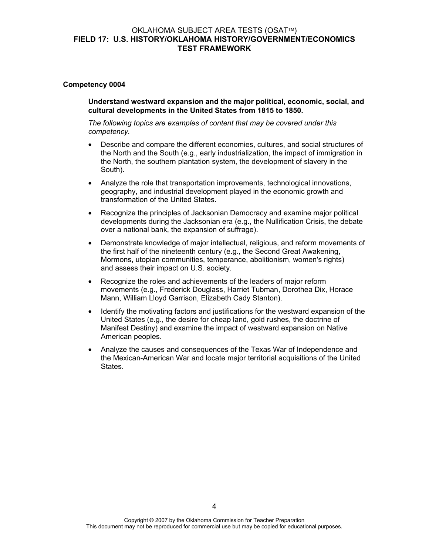#### **Competency 0004**

**Understand westward expansion and the major political, economic, social, and cultural developments in the United States from 1815 to 1850.** 

- Describe and compare the different economies, cultures, and social structures of the North and the South (e.g., early industrialization, the impact of immigration in the North, the southern plantation system, the development of slavery in the South).
- Analyze the role that transportation improvements, technological innovations, geography, and industrial development played in the economic growth and transformation of the United States.
- Recognize the principles of Jacksonian Democracy and examine major political developments during the Jacksonian era (e.g., the Nullification Crisis, the debate over a national bank, the expansion of suffrage).
- Demonstrate knowledge of major intellectual, religious, and reform movements of the first half of the nineteenth century (e.g., the Second Great Awakening, Mormons, utopian communities, temperance, abolitionism, women's rights) and assess their impact on U.S. society.
- Recognize the roles and achievements of the leaders of major reform movements (e.g., Frederick Douglass, Harriet Tubman, Dorothea Dix, Horace Mann, William Lloyd Garrison, Elizabeth Cady Stanton).
- Identify the motivating factors and justifications for the westward expansion of the United States (e.g., the desire for cheap land, gold rushes, the doctrine of Manifest Destiny) and examine the impact of westward expansion on Native American peoples.
- Analyze the causes and consequences of the Texas War of Independence and the Mexican-American War and locate major territorial acquisitions of the United States.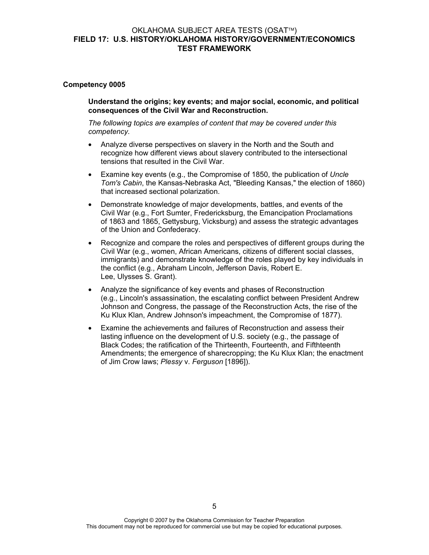#### **Competency 0005**

**Understand the origins; key events; and major social, economic, and political consequences of the Civil War and Reconstruction.** 

- Analyze diverse perspectives on slavery in the North and the South and recognize how different views about slavery contributed to the intersectional tensions that resulted in the Civil War.
- Examine key events (e.g., the Compromise of 1850, the publication of *Uncle Tom's Cabin*, the Kansas-Nebraska Act, "Bleeding Kansas," the election of 1860) that increased sectional polarization.
- Demonstrate knowledge of major developments, battles, and events of the Civil War (e.g., Fort Sumter, Fredericksburg, the Emancipation Proclamations of 1863 and 1865, Gettysburg, Vicksburg) and assess the strategic advantages of the Union and Confederacy.
- Recognize and compare the roles and perspectives of different groups during the Civil War (e.g., women, African Americans, citizens of different social classes, immigrants) and demonstrate knowledge of the roles played by key individuals in the conflict (e.g., Abraham Lincoln, Jefferson Davis, Robert E. Lee, Ulysses S. Grant).
- Analyze the significance of key events and phases of Reconstruction (e.g., Lincoln's assassination, the escalating conflict between President Andrew Johnson and Congress, the passage of the Reconstruction Acts, the rise of the Ku Klux Klan, Andrew Johnson's impeachment, the Compromise of 1877).
- Examine the achievements and failures of Reconstruction and assess their lasting influence on the development of U.S. society (e.g., the passage of Black Codes; the ratification of the Thirteenth, Fourteenth, and Fifthteenth Amendments; the emergence of sharecropping; the Ku Klux Klan; the enactment of Jim Crow laws; *Plessy* v. *Ferguson* [1896]).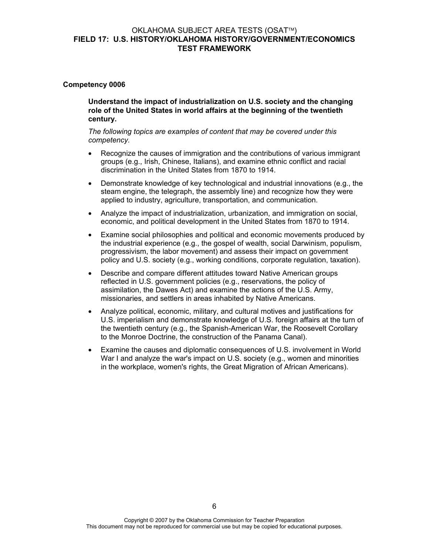#### **Competency 0006**

**Understand the impact of industrialization on U.S. society and the changing role of the United States in world affairs at the beginning of the twentieth century.** 

- Recognize the causes of immigration and the contributions of various immigrant groups (e.g., Irish, Chinese, Italians), and examine ethnic conflict and racial discrimination in the United States from 1870 to 1914.
- Demonstrate knowledge of key technological and industrial innovations (e.g., the steam engine, the telegraph, the assembly line) and recognize how they were applied to industry, agriculture, transportation, and communication.
- Analyze the impact of industrialization, urbanization, and immigration on social, economic, and political development in the United States from 1870 to 1914.
- Examine social philosophies and political and economic movements produced by the industrial experience (e.g., the gospel of wealth, social Darwinism, populism, progressivism, the labor movement) and assess their impact on government policy and U.S. society (e.g., working conditions, corporate regulation, taxation).
- Describe and compare different attitudes toward Native American groups reflected in U.S. government policies (e.g., reservations, the policy of assimilation, the Dawes Act) and examine the actions of the U.S. Army, missionaries, and settlers in areas inhabited by Native Americans.
- Analyze political, economic, military, and cultural motives and justifications for U.S. imperialism and demonstrate knowledge of U.S. foreign affairs at the turn of the twentieth century (e.g., the Spanish-American War, the Roosevelt Corollary to the Monroe Doctrine, the construction of the Panama Canal).
- Examine the causes and diplomatic consequences of U.S. involvement in World War I and analyze the war's impact on U.S. society (e.g., women and minorities in the workplace, women's rights, the Great Migration of African Americans).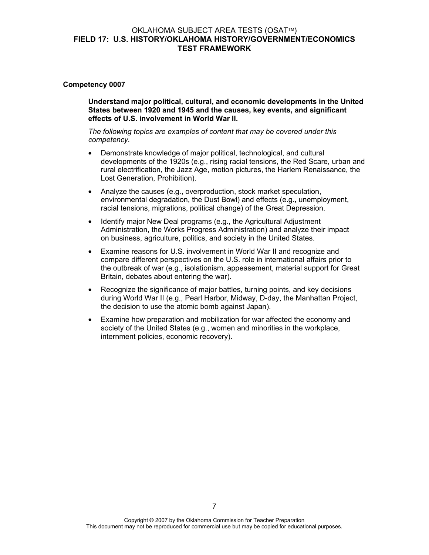#### **Competency 0007**

**Understand major political, cultural, and economic developments in the United States between 1920 and 1945 and the causes, key events, and significant effects of U.S. involvement in World War II.** 

- Demonstrate knowledge of major political, technological, and cultural developments of the 1920s (e.g., rising racial tensions, the Red Scare, urban and rural electrification, the Jazz Age, motion pictures, the Harlem Renaissance, the Lost Generation, Prohibition).
- Analyze the causes (e.g., overproduction, stock market speculation, environmental degradation, the Dust Bowl) and effects (e.g., unemployment, racial tensions, migrations, political change) of the Great Depression.
- Identify major New Deal programs (e.g., the Agricultural Adjustment Administration, the Works Progress Administration) and analyze their impact on business, agriculture, politics, and society in the United States.
- Examine reasons for U.S. involvement in World War II and recognize and compare different perspectives on the U.S. role in international affairs prior to the outbreak of war (e.g., isolationism, appeasement, material support for Great Britain, debates about entering the war).
- Recognize the significance of major battles, turning points, and key decisions during World War II (e.g., Pearl Harbor, Midway, D-day, the Manhattan Project, the decision to use the atomic bomb against Japan).
- Examine how preparation and mobilization for war affected the economy and society of the United States (e.g., women and minorities in the workplace, internment policies, economic recovery).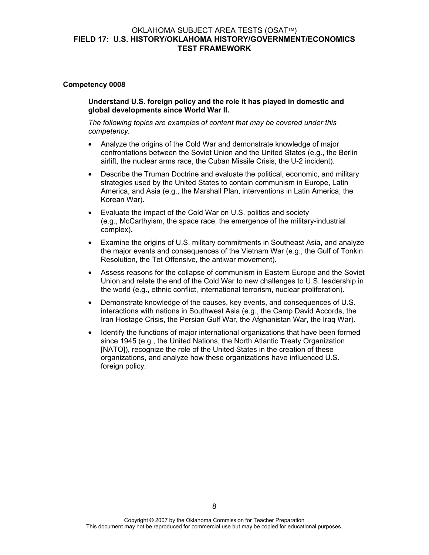#### **Competency 0008**

**Understand U.S. foreign policy and the role it has played in domestic and global developments since World War II.** 

- Analyze the origins of the Cold War and demonstrate knowledge of major confrontations between the Soviet Union and the United States (e.g., the Berlin airlift, the nuclear arms race, the Cuban Missile Crisis, the U-2 incident).
- Describe the Truman Doctrine and evaluate the political, economic, and military strategies used by the United States to contain communism in Europe, Latin America, and Asia (e.g., the Marshall Plan, interventions in Latin America, the Korean War).
- Evaluate the impact of the Cold War on U.S. politics and society (e.g., McCarthyism, the space race, the emergence of the military-industrial complex).
- Examine the origins of U.S. military commitments in Southeast Asia, and analyze the major events and consequences of the Vietnam War (e.g., the Gulf of Tonkin Resolution, the Tet Offensive, the antiwar movement).
- Assess reasons for the collapse of communism in Eastern Europe and the Soviet Union and relate the end of the Cold War to new challenges to U.S. leadership in the world (e.g., ethnic conflict, international terrorism, nuclear proliferation).
- Demonstrate knowledge of the causes, key events, and consequences of U.S. interactions with nations in Southwest Asia (e.g., the Camp David Accords, the Iran Hostage Crisis, the Persian Gulf War, the Afghanistan War, the Iraq War).
- Identify the functions of major international organizations that have been formed since 1945 (e.g., the United Nations, the North Atlantic Treaty Organization [NATO]), recognize the role of the United States in the creation of these organizations, and analyze how these organizations have influenced U.S. foreign policy.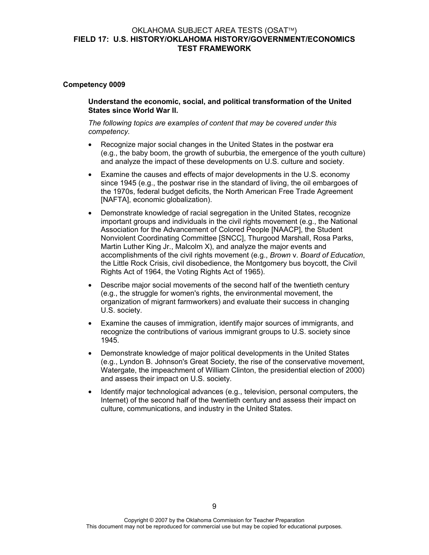#### **Competency 0009**

**Understand the economic, social, and political transformation of the United States since World War II.** 

- Recognize major social changes in the United States in the postwar era (e.g., the baby boom, the growth of suburbia, the emergence of the youth culture) and analyze the impact of these developments on U.S. culture and society.
- Examine the causes and effects of major developments in the U.S. economy since 1945 (e.g., the postwar rise in the standard of living, the oil embargoes of the 1970s, federal budget deficits, the North American Free Trade Agreement [NAFTA], economic globalization).
- Demonstrate knowledge of racial segregation in the United States, recognize important groups and individuals in the civil rights movement (e.g., the National Association for the Advancement of Colored People [NAACP], the Student Nonviolent Coordinating Committee [SNCC], Thurgood Marshall, Rosa Parks, Martin Luther King Jr., Malcolm X), and analyze the major events and accomplishments of the civil rights movement (e.g., *Brown* v. *Board of Education*, the Little Rock Crisis, civil disobedience, the Montgomery bus boycott, the Civil Rights Act of 1964, the Voting Rights Act of 1965).
- Describe major social movements of the second half of the twentieth century (e.g., the struggle for women's rights, the environmental movement, the organization of migrant farmworkers) and evaluate their success in changing U.S. society.
- Examine the causes of immigration, identify major sources of immigrants, and recognize the contributions of various immigrant groups to U.S. society since 1945.
- Demonstrate knowledge of major political developments in the United States (e.g., Lyndon B. Johnson's Great Society, the rise of the conservative movement, Watergate, the impeachment of William Clinton, the presidential election of 2000) and assess their impact on U.S. society.
- Identify major technological advances (e.g., television, personal computers, the Internet) of the second half of the twentieth century and assess their impact on culture, communications, and industry in the United States.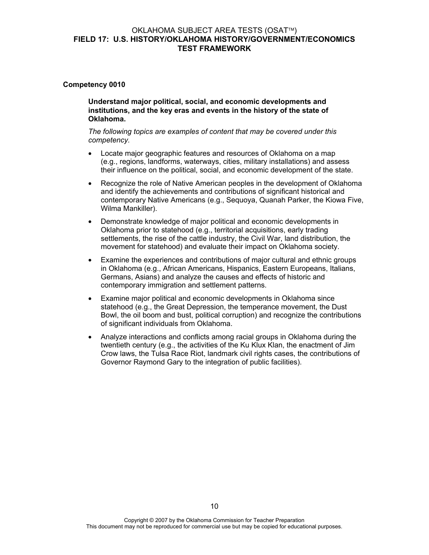#### **Competency 0010**

**Understand major political, social, and economic developments and institutions, and the key eras and events in the history of the state of Oklahoma.** 

- Locate major geographic features and resources of Oklahoma on a map (e.g., regions, landforms, waterways, cities, military installations) and assess their influence on the political, social, and economic development of the state.
- Recognize the role of Native American peoples in the development of Oklahoma and identify the achievements and contributions of significant historical and contemporary Native Americans (e.g., Sequoya, Quanah Parker, the Kiowa Five, Wilma Mankiller).
- Demonstrate knowledge of major political and economic developments in Oklahoma prior to statehood (e.g., territorial acquisitions, early trading settlements, the rise of the cattle industry, the Civil War, land distribution, the movement for statehood) and evaluate their impact on Oklahoma society.
- Examine the experiences and contributions of major cultural and ethnic groups in Oklahoma (e.g., African Americans, Hispanics, Eastern Europeans, Italians, Germans, Asians) and analyze the causes and effects of historic and contemporary immigration and settlement patterns.
- Examine major political and economic developments in Oklahoma since statehood (e.g., the Great Depression, the temperance movement, the Dust Bowl, the oil boom and bust, political corruption) and recognize the contributions of significant individuals from Oklahoma.
- Analyze interactions and conflicts among racial groups in Oklahoma during the twentieth century (e.g., the activities of the Ku Klux Klan, the enactment of Jim Crow laws, the Tulsa Race Riot, landmark civil rights cases, the contributions of Governor Raymond Gary to the integration of public facilities).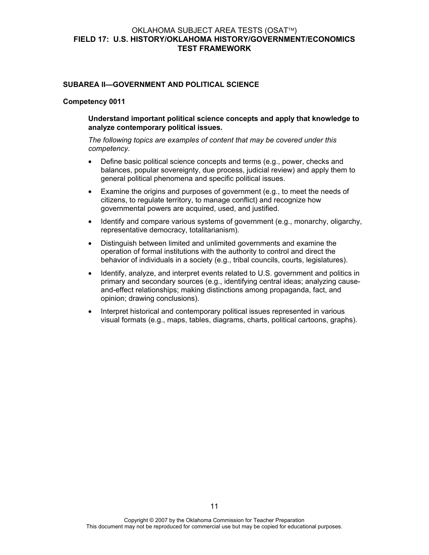#### **SUBAREA II—GOVERNMENT AND POLITICAL SCIENCE**

#### **Competency 0011**

#### **Understand important political science concepts and apply that knowledge to analyze contemporary political issues.**

- Define basic political science concepts and terms (e.g., power, checks and balances, popular sovereignty, due process, judicial review) and apply them to general political phenomena and specific political issues.
- Examine the origins and purposes of government (e.g., to meet the needs of citizens, to regulate territory, to manage conflict) and recognize how governmental powers are acquired, used, and justified.
- Identify and compare various systems of government (e.g., monarchy, oligarchy, representative democracy, totalitarianism).
- Distinguish between limited and unlimited governments and examine the operation of formal institutions with the authority to control and direct the behavior of individuals in a society (e.g., tribal councils, courts, legislatures).
- Identify, analyze, and interpret events related to U.S. government and politics in primary and secondary sources (e.g., identifying central ideas; analyzing causeand-effect relationships; making distinctions among propaganda, fact, and opinion; drawing conclusions).
- Interpret historical and contemporary political issues represented in various visual formats (e.g., maps, tables, diagrams, charts, political cartoons, graphs).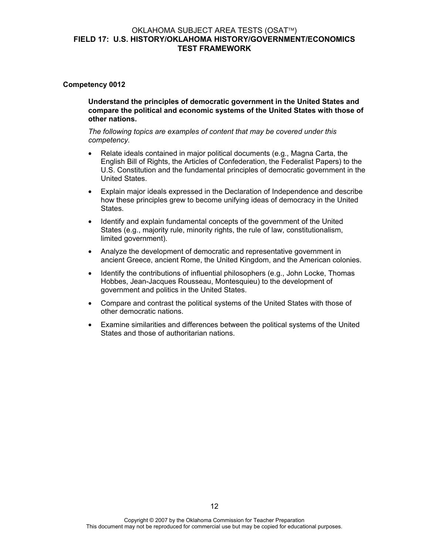#### **Competency 0012**

**Understand the principles of democratic government in the United States and compare the political and economic systems of the United States with those of other nations.** 

- Relate ideals contained in major political documents (e.g., Magna Carta, the English Bill of Rights, the Articles of Confederation, the Federalist Papers) to the U.S. Constitution and the fundamental principles of democratic government in the United States.
- Explain major ideals expressed in the Declaration of Independence and describe how these principles grew to become unifying ideas of democracy in the United States.
- Identify and explain fundamental concepts of the government of the United States (e.g., majority rule, minority rights, the rule of law, constitutionalism, limited government).
- Analyze the development of democratic and representative government in ancient Greece, ancient Rome, the United Kingdom, and the American colonies.
- Identify the contributions of influential philosophers (e.g., John Locke, Thomas Hobbes, Jean-Jacques Rousseau, Montesquieu) to the development of government and politics in the United States.
- Compare and contrast the political systems of the United States with those of other democratic nations.
- Examine similarities and differences between the political systems of the United States and those of authoritarian nations.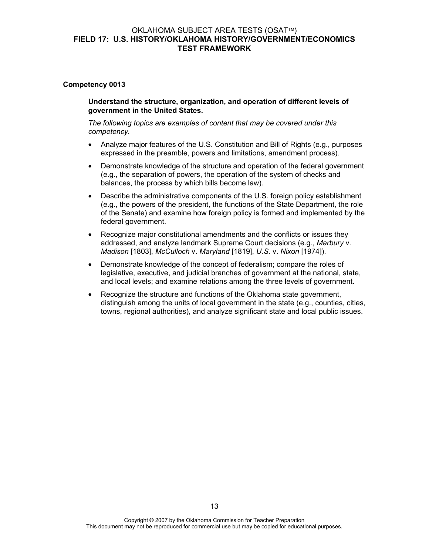#### **Competency 0013**

**Understand the structure, organization, and operation of different levels of government in the United States.** 

- Analyze major features of the U.S. Constitution and Bill of Rights (e.g., purposes expressed in the preamble, powers and limitations, amendment process).
- Demonstrate knowledge of the structure and operation of the federal government (e.g., the separation of powers, the operation of the system of checks and balances, the process by which bills become law).
- Describe the administrative components of the U.S. foreign policy establishment (e.g., the powers of the president, the functions of the State Department, the role of the Senate) and examine how foreign policy is formed and implemented by the federal government.
- Recognize major constitutional amendments and the conflicts or issues they addressed, and analyze landmark Supreme Court decisions (e.g., *Marbury* v. *Madison* [1803], *McCulloch* v. *Maryland* [1819], *U.S.* v. *Nixon* [1974]).
- Demonstrate knowledge of the concept of federalism; compare the roles of legislative, executive, and judicial branches of government at the national, state, and local levels; and examine relations among the three levels of government.
- Recognize the structure and functions of the Oklahoma state government, distinguish among the units of local government in the state (e.g., counties, cities, towns, regional authorities), and analyze significant state and local public issues.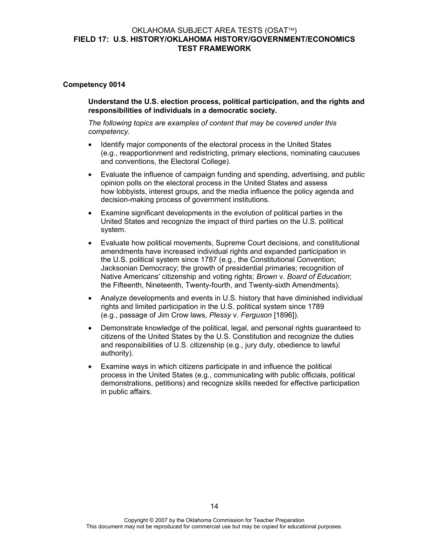#### **Competency 0014**

**Understand the U.S. election process, political participation, and the rights and responsibilities of individuals in a democratic society.** 

- Identify major components of the electoral process in the United States (e.g., reapportionment and redistricting, primary elections, nominating caucuses and conventions, the Electoral College).
- Evaluate the influence of campaign funding and spending, advertising, and public opinion polls on the electoral process in the United States and assess how lobbyists, interest groups, and the media influence the policy agenda and decision-making process of government institutions.
- Examine significant developments in the evolution of political parties in the United States and recognize the impact of third parties on the U.S. political system.
- Evaluate how political movements, Supreme Court decisions, and constitutional amendments have increased individual rights and expanded participation in the U.S. political system since 1787 (e.g., the Constitutional Convention; Jacksonian Democracy; the growth of presidential primaries; recognition of Native Americans' citizenship and voting rights; *Brown* v. *Board of Education*; the Fifteenth, Nineteenth, Twenty-fourth, and Twenty-sixth Amendments).
- Analyze developments and events in U.S. history that have diminished individual rights and limited participation in the U.S. political system since 1789 (e.g., passage of Jim Crow laws, *Plessy* v. *Ferguson* [1896]).
- Demonstrate knowledge of the political, legal, and personal rights guaranteed to citizens of the United States by the U.S. Constitution and recognize the duties and responsibilities of U.S. citizenship (e.g., jury duty, obedience to lawful authority).
- Examine ways in which citizens participate in and influence the political process in the United States (e.g., communicating with public officials, political demonstrations, petitions) and recognize skills needed for effective participation in public affairs.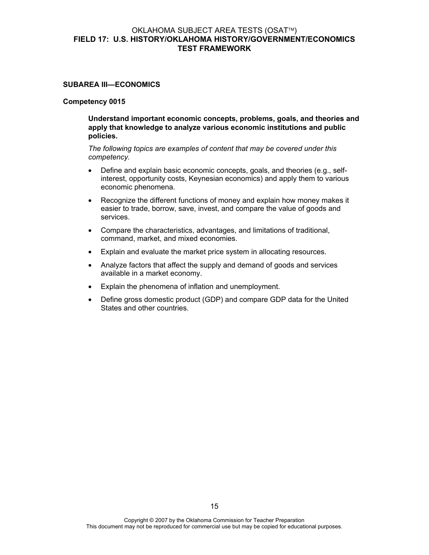#### **SUBAREA III—ECONOMICS**

#### **Competency 0015**

**Understand important economic concepts, problems, goals, and theories and apply that knowledge to analyze various economic institutions and public policies.** 

- Define and explain basic economic concepts, goals, and theories (e.g., selfinterest, opportunity costs, Keynesian economics) and apply them to various economic phenomena.
- Recognize the different functions of money and explain how money makes it easier to trade, borrow, save, invest, and compare the value of goods and services.
- Compare the characteristics, advantages, and limitations of traditional, command, market, and mixed economies.
- Explain and evaluate the market price system in allocating resources.
- Analyze factors that affect the supply and demand of goods and services available in a market economy.
- Explain the phenomena of inflation and unemployment.
- Define gross domestic product (GDP) and compare GDP data for the United States and other countries.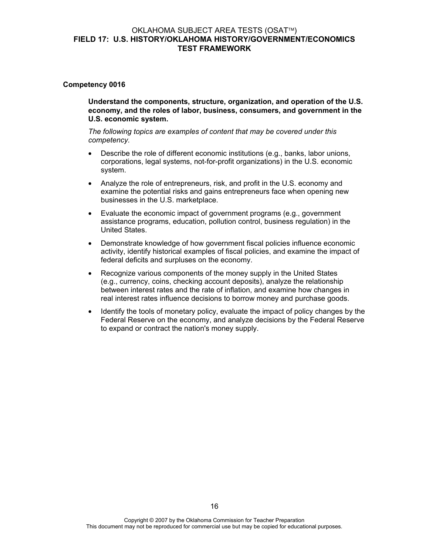#### **Competency 0016**

**Understand the components, structure, organization, and operation of the U.S. economy, and the roles of labor, business, consumers, and government in the U.S. economic system.** 

- Describe the role of different economic institutions (e.g., banks, labor unions, corporations, legal systems, not-for-profit organizations) in the U.S. economic system.
- Analyze the role of entrepreneurs, risk, and profit in the U.S. economy and examine the potential risks and gains entrepreneurs face when opening new businesses in the U.S. marketplace.
- Evaluate the economic impact of government programs (e.g., government assistance programs, education, pollution control, business regulation) in the United States.
- Demonstrate knowledge of how government fiscal policies influence economic activity, identify historical examples of fiscal policies, and examine the impact of federal deficits and surpluses on the economy.
- Recognize various components of the money supply in the United States (e.g., currency, coins, checking account deposits), analyze the relationship between interest rates and the rate of inflation, and examine how changes in real interest rates influence decisions to borrow money and purchase goods.
- Identify the tools of monetary policy, evaluate the impact of policy changes by the Federal Reserve on the economy, and analyze decisions by the Federal Reserve to expand or contract the nation's money supply.